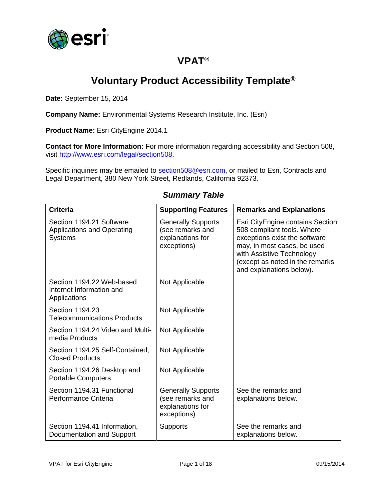

## **VPAT®**

# **Voluntary Product Accessibility Template®**

**Date:** September 15, 2014

**Company Name:** Environmental Systems Research Institute, Inc. (Esri)

**Product Name:** Esri CityEngine 2014.1

**Contact for More Information:** For more information regarding accessibility and Section 508, visit [http://www.esri.com/legal/section508.](http://www.esri.com/legal/section508)

Specific inquiries may be emailed to [section508@esri.com,](mailto:section508@esri.com) or mailed to Esri, Contracts and Legal Department, 380 New York Street, Redlands, California 92373.

| <b>Criteria</b>                                                                 | <b>Supporting Features</b>                                                       | <b>Remarks and Explanations</b>                                                                                                                                                                                            |
|---------------------------------------------------------------------------------|----------------------------------------------------------------------------------|----------------------------------------------------------------------------------------------------------------------------------------------------------------------------------------------------------------------------|
| Section 1194.21 Software<br><b>Applications and Operating</b><br><b>Systems</b> | <b>Generally Supports</b><br>(see remarks and<br>explanations for<br>exceptions) | Esri CityEngine contains Section<br>508 compliant tools. Where<br>exceptions exist the software<br>may, in most cases, be used<br>with Assistive Technology<br>(except as noted in the remarks<br>and explanations below). |
| Section 1194.22 Web-based<br>Internet Information and<br>Applications           | Not Applicable                                                                   |                                                                                                                                                                                                                            |
| Section 1194.23<br><b>Telecommunications Products</b>                           | Not Applicable                                                                   |                                                                                                                                                                                                                            |
| Section 1194.24 Video and Multi-<br>media Products                              | Not Applicable                                                                   |                                                                                                                                                                                                                            |
| Section 1194.25 Self-Contained,<br><b>Closed Products</b>                       | Not Applicable                                                                   |                                                                                                                                                                                                                            |
| Section 1194.26 Desktop and<br><b>Portable Computers</b>                        | Not Applicable                                                                   |                                                                                                                                                                                                                            |
| Section 1194.31 Functional<br>Performance Criteria                              | <b>Generally Supports</b><br>(see remarks and<br>explanations for<br>exceptions) | See the remarks and<br>explanations below.                                                                                                                                                                                 |
| Section 1194.41 Information,<br>Documentation and Support                       | <b>Supports</b>                                                                  | See the remarks and<br>explanations below.                                                                                                                                                                                 |

#### *Summary Table*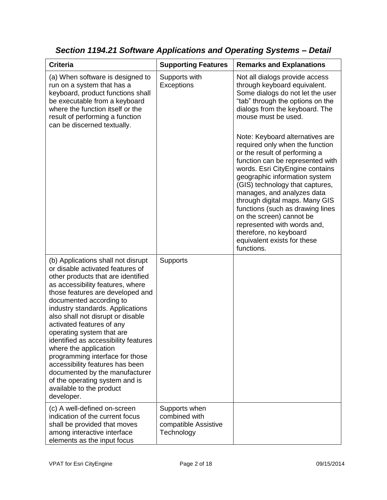| <b>Criteria</b>                                                                                                                                                                                                                                                                                                                                                                                                                                                                                                                                                                                         | <b>Supporting Features</b>                                           | <b>Remarks and Explanations</b>                                                                                                                                                                                                                                                                                                                                                                                                                                                      |
|---------------------------------------------------------------------------------------------------------------------------------------------------------------------------------------------------------------------------------------------------------------------------------------------------------------------------------------------------------------------------------------------------------------------------------------------------------------------------------------------------------------------------------------------------------------------------------------------------------|----------------------------------------------------------------------|--------------------------------------------------------------------------------------------------------------------------------------------------------------------------------------------------------------------------------------------------------------------------------------------------------------------------------------------------------------------------------------------------------------------------------------------------------------------------------------|
| (a) When software is designed to<br>run on a system that has a<br>keyboard, product functions shall<br>be executable from a keyboard<br>where the function itself or the<br>result of performing a function<br>can be discerned textually.                                                                                                                                                                                                                                                                                                                                                              | Supports with<br>Exceptions                                          | Not all dialogs provide access<br>through keyboard equivalent.<br>Some dialogs do not let the user<br>"tab" through the options on the<br>dialogs from the keyboard. The<br>mouse must be used.                                                                                                                                                                                                                                                                                      |
|                                                                                                                                                                                                                                                                                                                                                                                                                                                                                                                                                                                                         |                                                                      | Note: Keyboard alternatives are<br>required only when the function<br>or the result of performing a<br>function can be represented with<br>words. Esri CityEngine contains<br>geographic information system<br>(GIS) technology that captures,<br>manages, and analyzes data<br>through digital maps. Many GIS<br>functions (such as drawing lines<br>on the screen) cannot be<br>represented with words and,<br>therefore, no keyboard<br>equivalent exists for these<br>functions. |
| (b) Applications shall not disrupt<br>or disable activated features of<br>other products that are identified<br>as accessibility features, where<br>those features are developed and<br>documented according to<br>industry standards. Applications<br>also shall not disrupt or disable<br>activated features of any<br>operating system that are<br>identified as accessibility features<br>where the application<br>programming interface for those<br>accessibility features has been<br>documented by the manufacturer<br>of the operating system and is<br>available to the product<br>developer. | Supports                                                             |                                                                                                                                                                                                                                                                                                                                                                                                                                                                                      |
| (c) A well-defined on-screen<br>indication of the current focus<br>shall be provided that moves<br>among interactive interface<br>elements as the input focus                                                                                                                                                                                                                                                                                                                                                                                                                                           | Supports when<br>combined with<br>compatible Assistive<br>Technology |                                                                                                                                                                                                                                                                                                                                                                                                                                                                                      |

*Section 1194.21 Software Applications and Operating Systems – Detail*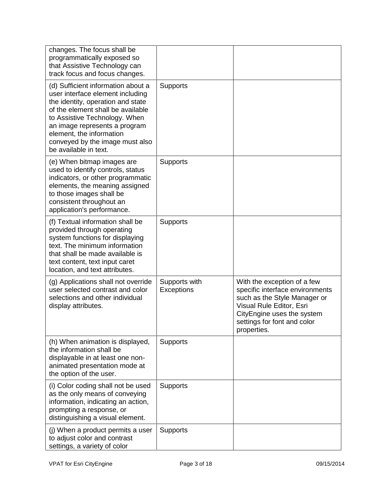| changes. The focus shall be<br>programmatically exposed so<br>that Assistive Technology can<br>track focus and focus changes.                                                                                                                                                                              |                             |                                                                                                                                                                                                        |
|------------------------------------------------------------------------------------------------------------------------------------------------------------------------------------------------------------------------------------------------------------------------------------------------------------|-----------------------------|--------------------------------------------------------------------------------------------------------------------------------------------------------------------------------------------------------|
| (d) Sufficient information about a<br>user interface element including<br>the identity, operation and state<br>of the element shall be available<br>to Assistive Technology. When<br>an image represents a program<br>element, the information<br>conveyed by the image must also<br>be available in text. | <b>Supports</b>             |                                                                                                                                                                                                        |
| (e) When bitmap images are<br>used to identify controls, status<br>indicators, or other programmatic<br>elements, the meaning assigned<br>to those images shall be<br>consistent throughout an<br>application's performance.                                                                               | <b>Supports</b>             |                                                                                                                                                                                                        |
| (f) Textual information shall be<br>provided through operating<br>system functions for displaying<br>text. The minimum information<br>that shall be made available is<br>text content, text input caret<br>location, and text attributes.                                                                  | <b>Supports</b>             |                                                                                                                                                                                                        |
| (g) Applications shall not override<br>user selected contrast and color<br>selections and other individual<br>display attributes.                                                                                                                                                                          | Supports with<br>Exceptions | With the exception of a few<br>specific interface environments<br>such as the Style Manager or<br>Visual Rule Editor, Esri<br>CityEngine uses the system<br>settings for font and color<br>properties. |
| (h) When animation is displayed,<br>the information shall be<br>displayable in at least one non-<br>animated presentation mode at<br>the option of the user.                                                                                                                                               | <b>Supports</b>             |                                                                                                                                                                                                        |
| (i) Color coding shall not be used<br>as the only means of conveying<br>information, indicating an action,<br>prompting a response, or<br>distinguishing a visual element.                                                                                                                                 | <b>Supports</b>             |                                                                                                                                                                                                        |
| (j) When a product permits a user<br>to adjust color and contrast<br>settings, a variety of color                                                                                                                                                                                                          | <b>Supports</b>             |                                                                                                                                                                                                        |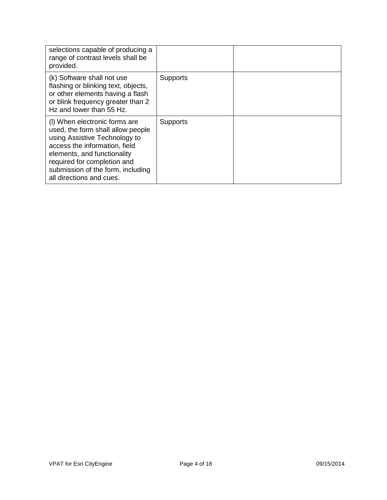| selections capable of producing a<br>range of contrast levels shall be<br>provided.                                                                                                                                                                                 |                 |  |
|---------------------------------------------------------------------------------------------------------------------------------------------------------------------------------------------------------------------------------------------------------------------|-----------------|--|
| (k) Software shall not use<br>flashing or blinking text, objects,<br>or other elements having a flash<br>or blink frequency greater than 2<br>Hz and lower than 55 Hz.                                                                                              | <b>Supports</b> |  |
| (I) When electronic forms are<br>used, the form shall allow people<br>using Assistive Technology to<br>access the information, field<br>elements, and functionality<br>required for completion and<br>submission of the form, including<br>all directions and cues. | <b>Supports</b> |  |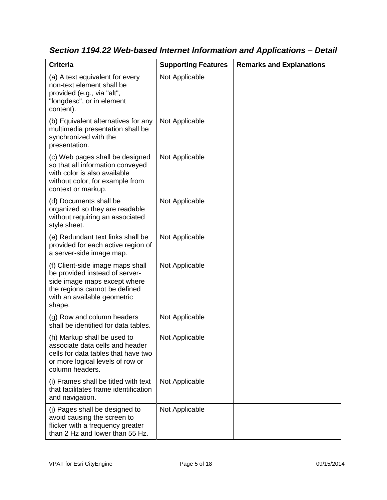| <b>Criteria</b>                                                                                                                                                              | <b>Supporting Features</b> | <b>Remarks and Explanations</b> |
|------------------------------------------------------------------------------------------------------------------------------------------------------------------------------|----------------------------|---------------------------------|
| (a) A text equivalent for every<br>non-text element shall be<br>provided (e.g., via "alt",<br>"longdesc", or in element<br>content).                                         | Not Applicable             |                                 |
| (b) Equivalent alternatives for any<br>multimedia presentation shall be<br>synchronized with the<br>presentation.                                                            | Not Applicable             |                                 |
| (c) Web pages shall be designed<br>so that all information conveyed<br>with color is also available<br>without color, for example from<br>context or markup.                 | Not Applicable             |                                 |
| (d) Documents shall be<br>organized so they are readable<br>without requiring an associated<br>style sheet.                                                                  | Not Applicable             |                                 |
| (e) Redundant text links shall be<br>provided for each active region of<br>a server-side image map.                                                                          | Not Applicable             |                                 |
| (f) Client-side image maps shall<br>be provided instead of server-<br>side image maps except where<br>the regions cannot be defined<br>with an available geometric<br>shape. | Not Applicable             |                                 |
| (g) Row and column headers<br>shall be identified for data tables.                                                                                                           | Not Applicable             |                                 |
| (h) Markup shall be used to<br>associate data cells and header<br>cells for data tables that have two<br>or more logical levels of row or<br>column headers.                 | Not Applicable             |                                 |
| (i) Frames shall be titled with text<br>that facilitates frame identification<br>and navigation.                                                                             | Not Applicable             |                                 |
| (j) Pages shall be designed to<br>avoid causing the screen to<br>flicker with a frequency greater<br>than 2 Hz and lower than 55 Hz.                                         | Not Applicable             |                                 |

*Section 1194.22 Web-based Internet Information and Applications – Detail*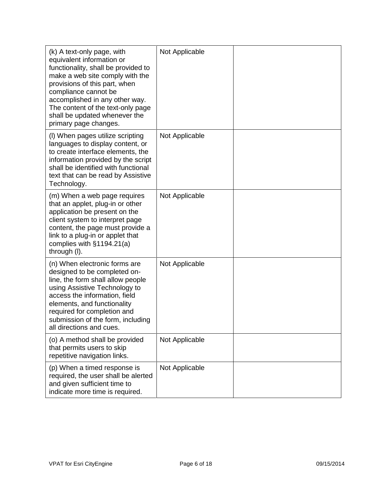| (k) A text-only page, with<br>equivalent information or<br>functionality, shall be provided to<br>make a web site comply with the<br>provisions of this part, when<br>compliance cannot be<br>accomplished in any other way.<br>The content of the text-only page<br>shall be updated whenever the<br>primary page changes. | Not Applicable |  |
|-----------------------------------------------------------------------------------------------------------------------------------------------------------------------------------------------------------------------------------------------------------------------------------------------------------------------------|----------------|--|
| (I) When pages utilize scripting<br>languages to display content, or<br>to create interface elements, the<br>information provided by the script<br>shall be identified with functional<br>text that can be read by Assistive<br>Technology.                                                                                 | Not Applicable |  |
| (m) When a web page requires<br>that an applet, plug-in or other<br>application be present on the<br>client system to interpret page<br>content, the page must provide a<br>link to a plug-in or applet that<br>complies with $§1194.21(a)$<br>through (I).                                                                 | Not Applicable |  |
| (n) When electronic forms are<br>designed to be completed on-<br>line, the form shall allow people<br>using Assistive Technology to<br>access the information, field<br>elements, and functionality<br>required for completion and<br>submission of the form, including<br>all directions and cues.                         | Not Applicable |  |
| (o) A method shall be provided<br>that permits users to skip<br>repetitive navigation links.                                                                                                                                                                                                                                | Not Applicable |  |
| (p) When a timed response is<br>required, the user shall be alerted<br>and given sufficient time to<br>indicate more time is required.                                                                                                                                                                                      | Not Applicable |  |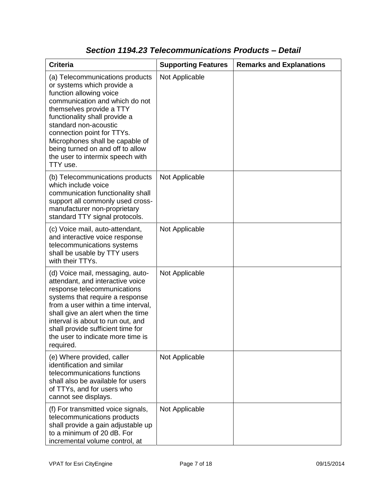| <b>Criteria</b>                                                                                                                                                                                                                                                                                                                                                       | <b>Supporting Features</b> | <b>Remarks and Explanations</b> |
|-----------------------------------------------------------------------------------------------------------------------------------------------------------------------------------------------------------------------------------------------------------------------------------------------------------------------------------------------------------------------|----------------------------|---------------------------------|
| (a) Telecommunications products<br>or systems which provide a<br>function allowing voice<br>communication and which do not<br>themselves provide a TTY<br>functionality shall provide a<br>standard non-acoustic<br>connection point for TTYs.<br>Microphones shall be capable of<br>being turned on and off to allow<br>the user to intermix speech with<br>TTY use. | Not Applicable             |                                 |
| (b) Telecommunications products<br>which include voice<br>communication functionality shall<br>support all commonly used cross-<br>manufacturer non-proprietary<br>standard TTY signal protocols.                                                                                                                                                                     | Not Applicable             |                                 |
| (c) Voice mail, auto-attendant,<br>and interactive voice response<br>telecommunications systems<br>shall be usable by TTY users<br>with their TTYs.                                                                                                                                                                                                                   | Not Applicable             |                                 |
| (d) Voice mail, messaging, auto-<br>attendant, and interactive voice<br>response telecommunications<br>systems that require a response<br>from a user within a time interval,<br>shall give an alert when the time<br>interval is about to run out, and<br>shall provide sufficient time for<br>the user to indicate more time is<br>required.                        | Not Applicable             |                                 |
| (e) Where provided, caller<br>identification and similar<br>telecommunications functions<br>shall also be available for users<br>of TTYs, and for users who<br>cannot see displays.                                                                                                                                                                                   | Not Applicable             |                                 |
| (f) For transmitted voice signals,<br>telecommunications products<br>shall provide a gain adjustable up<br>to a minimum of 20 dB. For<br>incremental volume control, at                                                                                                                                                                                               | Not Applicable             |                                 |

### *Section 1194.23 Telecommunications Products – Detail*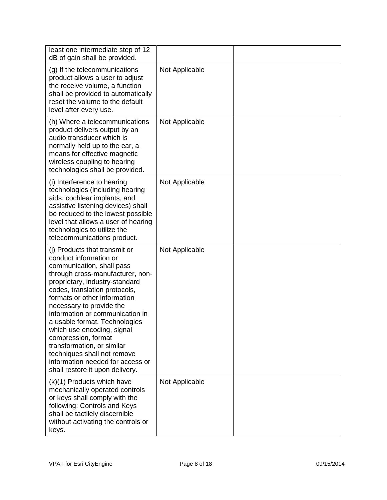| least one intermediate step of 12<br>dB of gain shall be provided.                                                                                                                                                                                                                                                                                                                                                                                                                                                   |                |            |
|----------------------------------------------------------------------------------------------------------------------------------------------------------------------------------------------------------------------------------------------------------------------------------------------------------------------------------------------------------------------------------------------------------------------------------------------------------------------------------------------------------------------|----------------|------------|
| (g) If the telecommunications<br>product allows a user to adjust<br>the receive volume, a function<br>shall be provided to automatically<br>reset the volume to the default<br>level after every use.                                                                                                                                                                                                                                                                                                                | Not Applicable |            |
| (h) Where a telecommunications<br>product delivers output by an<br>audio transducer which is<br>normally held up to the ear, a<br>means for effective magnetic<br>wireless coupling to hearing<br>technologies shall be provided.                                                                                                                                                                                                                                                                                    | Not Applicable |            |
| (i) Interference to hearing<br>technologies (including hearing<br>aids, cochlear implants, and<br>assistive listening devices) shall<br>be reduced to the lowest possible<br>level that allows a user of hearing<br>technologies to utilize the<br>telecommunications product.                                                                                                                                                                                                                                       | Not Applicable |            |
| (i) Products that transmit or<br>conduct information or<br>communication, shall pass<br>through cross-manufacturer, non-<br>proprietary, industry-standard<br>codes, translation protocols,<br>formats or other information<br>necessary to provide the<br>information or communication in<br>a usable format. Technologies<br>which use encoding, signal<br>compression, format<br>transformation, or similar<br>techniques shall not remove<br>information needed for access or<br>shall restore it upon delivery. | Not Applicable |            |
| (k)(1) Products which have<br>mechanically operated controls<br>or keys shall comply with the<br>following: Controls and Keys<br>shall be tactilely discernible<br>without activating the controls or<br>keys.                                                                                                                                                                                                                                                                                                       | Not Applicable |            |
| VPAT for Esri CityEngine                                                                                                                                                                                                                                                                                                                                                                                                                                                                                             | Page 8 of 18   | 09/15/2014 |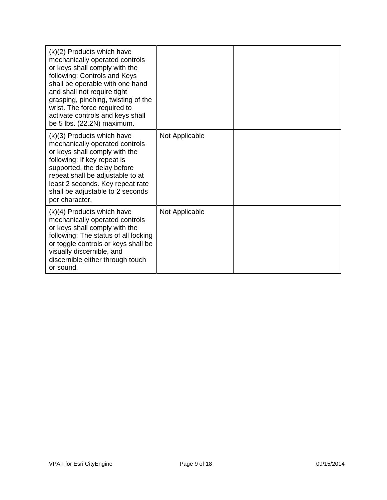| $(k)(2)$ Products which have<br>mechanically operated controls<br>or keys shall comply with the<br>following: Controls and Keys<br>shall be operable with one hand<br>and shall not require tight<br>grasping, pinching, twisting of the<br>wrist. The force required to<br>activate controls and keys shall<br>be 5 lbs. (22.2N) maximum. |                |  |
|--------------------------------------------------------------------------------------------------------------------------------------------------------------------------------------------------------------------------------------------------------------------------------------------------------------------------------------------|----------------|--|
| (k)(3) Products which have<br>mechanically operated controls<br>or keys shall comply with the<br>following: If key repeat is<br>supported, the delay before<br>repeat shall be adjustable to at<br>least 2 seconds. Key repeat rate<br>shall be adjustable to 2 seconds<br>per character.                                                  | Not Applicable |  |
| $(k)(4)$ Products which have<br>mechanically operated controls<br>or keys shall comply with the<br>following: The status of all locking<br>or toggle controls or keys shall be<br>visually discernible, and<br>discernible either through touch<br>or sound.                                                                               | Not Applicable |  |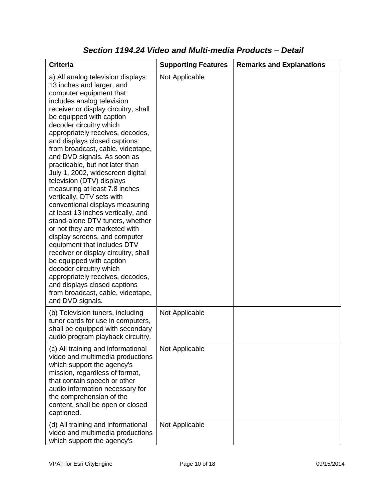| <b>Criteria</b>                                                                                                                                                                                                                                                                                                                                                                                                                                                                                                                                                                                                                                                                                                                                                                                                                                                                                                                                                           | <b>Supporting Features</b> | <b>Remarks and Explanations</b> |
|---------------------------------------------------------------------------------------------------------------------------------------------------------------------------------------------------------------------------------------------------------------------------------------------------------------------------------------------------------------------------------------------------------------------------------------------------------------------------------------------------------------------------------------------------------------------------------------------------------------------------------------------------------------------------------------------------------------------------------------------------------------------------------------------------------------------------------------------------------------------------------------------------------------------------------------------------------------------------|----------------------------|---------------------------------|
| a) All analog television displays<br>13 inches and larger, and<br>computer equipment that<br>includes analog television<br>receiver or display circuitry, shall<br>be equipped with caption<br>decoder circuitry which<br>appropriately receives, decodes,<br>and displays closed captions<br>from broadcast, cable, videotape,<br>and DVD signals. As soon as<br>practicable, but not later than<br>July 1, 2002, widescreen digital<br>television (DTV) displays<br>measuring at least 7.8 inches<br>vertically, DTV sets with<br>conventional displays measuring<br>at least 13 inches vertically, and<br>stand-alone DTV tuners, whether<br>or not they are marketed with<br>display screens, and computer<br>equipment that includes DTV<br>receiver or display circuitry, shall<br>be equipped with caption<br>decoder circuitry which<br>appropriately receives, decodes,<br>and displays closed captions<br>from broadcast, cable, videotape,<br>and DVD signals. | Not Applicable             |                                 |
| (b) Television tuners, including<br>tuner cards for use in computers,<br>shall be equipped with secondary<br>audio program playback circuitry.                                                                                                                                                                                                                                                                                                                                                                                                                                                                                                                                                                                                                                                                                                                                                                                                                            | Not Applicable             |                                 |
| (c) All training and informational<br>video and multimedia productions<br>which support the agency's<br>mission, regardless of format,<br>that contain speech or other<br>audio information necessary for<br>the comprehension of the<br>content, shall be open or closed<br>captioned.                                                                                                                                                                                                                                                                                                                                                                                                                                                                                                                                                                                                                                                                                   | Not Applicable             |                                 |
| (d) All training and informational<br>video and multimedia productions<br>which support the agency's                                                                                                                                                                                                                                                                                                                                                                                                                                                                                                                                                                                                                                                                                                                                                                                                                                                                      | Not Applicable             |                                 |

#### *Section 1194.24 Video and Multi-media Products – Detail*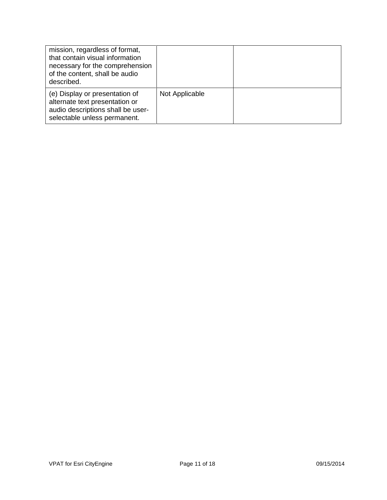| mission, regardless of format,<br>that contain visual information<br>necessary for the comprehension<br>of the content, shall be audio<br>described. |                |  |
|------------------------------------------------------------------------------------------------------------------------------------------------------|----------------|--|
| (e) Display or presentation of<br>alternate text presentation or<br>audio descriptions shall be user-<br>selectable unless permanent.                | Not Applicable |  |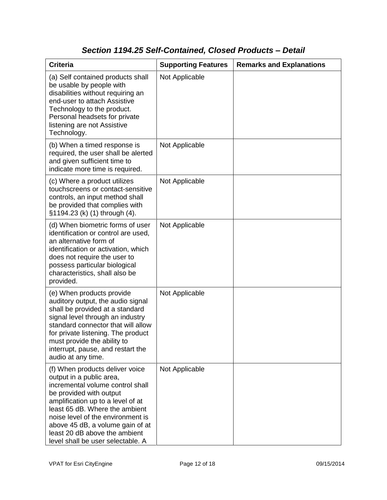### *Section 1194.25 Self-Contained, Closed Products – Detail*

| <b>Criteria</b>                                                                                                                                                                                                                                                                                                                                  | <b>Supporting Features</b> | <b>Remarks and Explanations</b> |
|--------------------------------------------------------------------------------------------------------------------------------------------------------------------------------------------------------------------------------------------------------------------------------------------------------------------------------------------------|----------------------------|---------------------------------|
| (a) Self contained products shall<br>be usable by people with<br>disabilities without requiring an<br>end-user to attach Assistive<br>Technology to the product.<br>Personal headsets for private<br>listening are not Assistive<br>Technology.                                                                                                  | Not Applicable             |                                 |
| (b) When a timed response is<br>required, the user shall be alerted<br>and given sufficient time to<br>indicate more time is required.                                                                                                                                                                                                           | Not Applicable             |                                 |
| (c) Where a product utilizes<br>touchscreens or contact-sensitive<br>controls, an input method shall<br>be provided that complies with<br>§1194.23 (k) (1) through (4).                                                                                                                                                                          | Not Applicable             |                                 |
| (d) When biometric forms of user<br>identification or control are used,<br>an alternative form of<br>identification or activation, which<br>does not require the user to<br>possess particular biological<br>characteristics, shall also be<br>provided.                                                                                         | Not Applicable             |                                 |
| (e) When products provide<br>auditory output, the audio signal<br>shall be provided at a standard<br>signal level through an industry<br>standard connector that will allow<br>for private listening. The product<br>must provide the ability to<br>interrupt, pause, and restart the<br>audio at any time.                                      | Not Applicable             |                                 |
| (f) When products deliver voice<br>output in a public area,<br>incremental volume control shall<br>be provided with output<br>amplification up to a level of at<br>least 65 dB. Where the ambient<br>noise level of the environment is<br>above 45 dB, a volume gain of at<br>least 20 dB above the ambient<br>level shall be user selectable. A | Not Applicable             |                                 |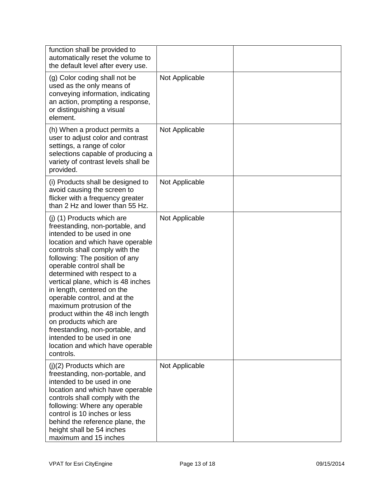| function shall be provided to<br>automatically reset the volume to<br>the default level after every use.                                                                                                                                                                                                                                                                                                                                                                                                                                                                          |                |  |
|-----------------------------------------------------------------------------------------------------------------------------------------------------------------------------------------------------------------------------------------------------------------------------------------------------------------------------------------------------------------------------------------------------------------------------------------------------------------------------------------------------------------------------------------------------------------------------------|----------------|--|
| (g) Color coding shall not be<br>used as the only means of<br>conveying information, indicating<br>an action, prompting a response,<br>or distinguishing a visual<br>element.                                                                                                                                                                                                                                                                                                                                                                                                     | Not Applicable |  |
| (h) When a product permits a<br>user to adjust color and contrast<br>settings, a range of color<br>selections capable of producing a<br>variety of contrast levels shall be<br>provided.                                                                                                                                                                                                                                                                                                                                                                                          | Not Applicable |  |
| (i) Products shall be designed to<br>avoid causing the screen to<br>flicker with a frequency greater<br>than 2 Hz and lower than 55 Hz.                                                                                                                                                                                                                                                                                                                                                                                                                                           | Not Applicable |  |
| (j) (1) Products which are<br>freestanding, non-portable, and<br>intended to be used in one<br>location and which have operable<br>controls shall comply with the<br>following: The position of any<br>operable control shall be<br>determined with respect to a<br>vertical plane, which is 48 inches<br>in length, centered on the<br>operable control, and at the<br>maximum protrusion of the<br>product within the 48 inch length<br>on products which are<br>freestanding, non-portable, and<br>intended to be used in one<br>location and which have operable<br>controls. | Not Applicable |  |
| (j)(2) Products which are<br>freestanding, non-portable, and<br>intended to be used in one<br>location and which have operable<br>controls shall comply with the<br>following: Where any operable<br>control is 10 inches or less<br>behind the reference plane, the<br>height shall be 54 inches<br>maximum and 15 inches                                                                                                                                                                                                                                                        | Not Applicable |  |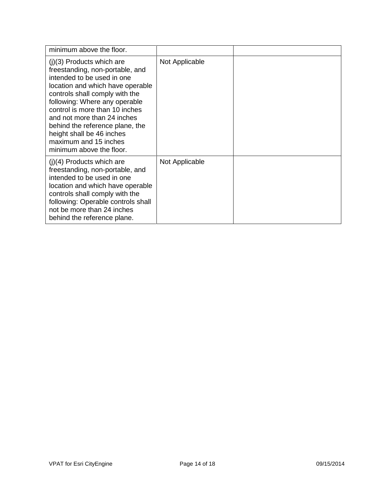| minimum above the floor.                                                                                                                                                                                                                                                                                                                                                                  |                |  |
|-------------------------------------------------------------------------------------------------------------------------------------------------------------------------------------------------------------------------------------------------------------------------------------------------------------------------------------------------------------------------------------------|----------------|--|
| $(j)(3)$ Products which are<br>freestanding, non-portable, and<br>intended to be used in one<br>location and which have operable<br>controls shall comply with the<br>following: Where any operable<br>control is more than 10 inches<br>and not more than 24 inches<br>behind the reference plane, the<br>height shall be 46 inches<br>maximum and 15 inches<br>minimum above the floor. | Not Applicable |  |
| $(i)(4)$ Products which are<br>freestanding, non-portable, and<br>intended to be used in one<br>location and which have operable<br>controls shall comply with the<br>following: Operable controls shall<br>not be more than 24 inches<br>behind the reference plane.                                                                                                                     | Not Applicable |  |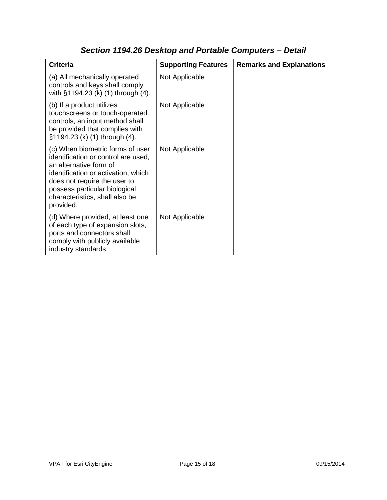| <b>Criteria</b>                                                                                                                                                                                                                                          | <b>Supporting Features</b> | <b>Remarks and Explanations</b> |
|----------------------------------------------------------------------------------------------------------------------------------------------------------------------------------------------------------------------------------------------------------|----------------------------|---------------------------------|
| (a) All mechanically operated<br>controls and keys shall comply<br>with §1194.23 (k) (1) through (4).                                                                                                                                                    | Not Applicable             |                                 |
| (b) If a product utilizes<br>touchscreens or touch-operated<br>controls, an input method shall<br>be provided that complies with<br>§1194.23 (k) (1) through (4).                                                                                        | Not Applicable             |                                 |
| (c) When biometric forms of user<br>identification or control are used,<br>an alternative form of<br>identification or activation, which<br>does not require the user to<br>possess particular biological<br>characteristics, shall also be<br>provided. | Not Applicable             |                                 |
| (d) Where provided, at least one<br>of each type of expansion slots,<br>ports and connectors shall<br>comply with publicly available<br>industry standards.                                                                                              | Not Applicable             |                                 |

# *Section 1194.26 Desktop and Portable Computers – Detail*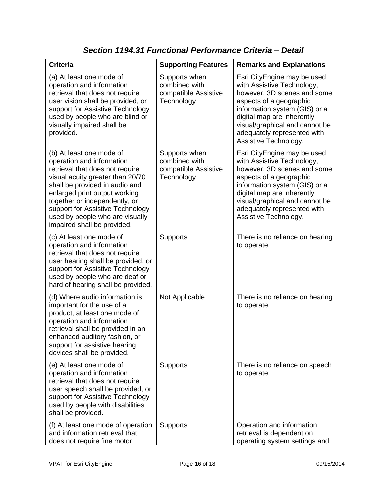| <b>Criteria</b>                                                                                                                                                                                                                                                                                                                        | <b>Supporting Features</b>                                           | <b>Remarks and Explanations</b>                                                                                                                                                                                                                                              |
|----------------------------------------------------------------------------------------------------------------------------------------------------------------------------------------------------------------------------------------------------------------------------------------------------------------------------------------|----------------------------------------------------------------------|------------------------------------------------------------------------------------------------------------------------------------------------------------------------------------------------------------------------------------------------------------------------------|
| (a) At least one mode of<br>operation and information<br>retrieval that does not require<br>user vision shall be provided, or<br>support for Assistive Technology<br>used by people who are blind or<br>visually impaired shall be<br>provided.                                                                                        | Supports when<br>combined with<br>compatible Assistive<br>Technology | Esri CityEngine may be used<br>with Assistive Technology,<br>however, 3D scenes and some<br>aspects of a geographic<br>information system (GIS) or a<br>digital map are inherently<br>visual/graphical and cannot be<br>adequately represented with<br>Assistive Technology. |
| (b) At least one mode of<br>operation and information<br>retrieval that does not require<br>visual acuity greater than 20/70<br>shall be provided in audio and<br>enlarged print output working<br>together or independently, or<br>support for Assistive Technology<br>used by people who are visually<br>impaired shall be provided. | Supports when<br>combined with<br>compatible Assistive<br>Technology | Esri CityEngine may be used<br>with Assistive Technology,<br>however, 3D scenes and some<br>aspects of a geographic<br>information system (GIS) or a<br>digital map are inherently<br>visual/graphical and cannot be<br>adequately represented with<br>Assistive Technology. |
| (c) At least one mode of<br>operation and information<br>retrieval that does not require<br>user hearing shall be provided, or<br>support for Assistive Technology<br>used by people who are deaf or<br>hard of hearing shall be provided.                                                                                             | <b>Supports</b>                                                      | There is no reliance on hearing<br>to operate.                                                                                                                                                                                                                               |
| (d) Where audio information is<br>important for the use of a<br>product, at least one mode of<br>operation and information<br>retrieval shall be provided in an<br>enhanced auditory fashion, or<br>support for assistive hearing<br>devices shall be provided.                                                                        | Not Applicable                                                       | There is no reliance on hearing<br>to operate.                                                                                                                                                                                                                               |
| (e) At least one mode of<br>operation and information<br>retrieval that does not require<br>user speech shall be provided, or<br>support for Assistive Technology<br>used by people with disabilities<br>shall be provided.                                                                                                            | <b>Supports</b>                                                      | There is no reliance on speech<br>to operate.                                                                                                                                                                                                                                |
| (f) At least one mode of operation<br>and information retrieval that<br>does not require fine motor                                                                                                                                                                                                                                    | <b>Supports</b>                                                      | Operation and information<br>retrieval is dependent on<br>operating system settings and                                                                                                                                                                                      |

*Section 1194.31 Functional Performance Criteria – Detail*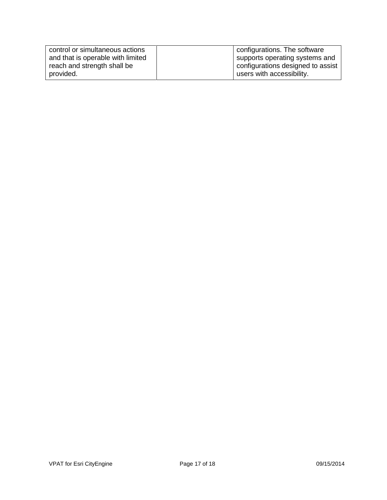| control or simultaneous actions   | configurations. The software      |
|-----------------------------------|-----------------------------------|
| and that is operable with limited | supports operating systems and    |
| reach and strength shall be       | configurations designed to assist |
| provided.                         | users with accessibility.         |